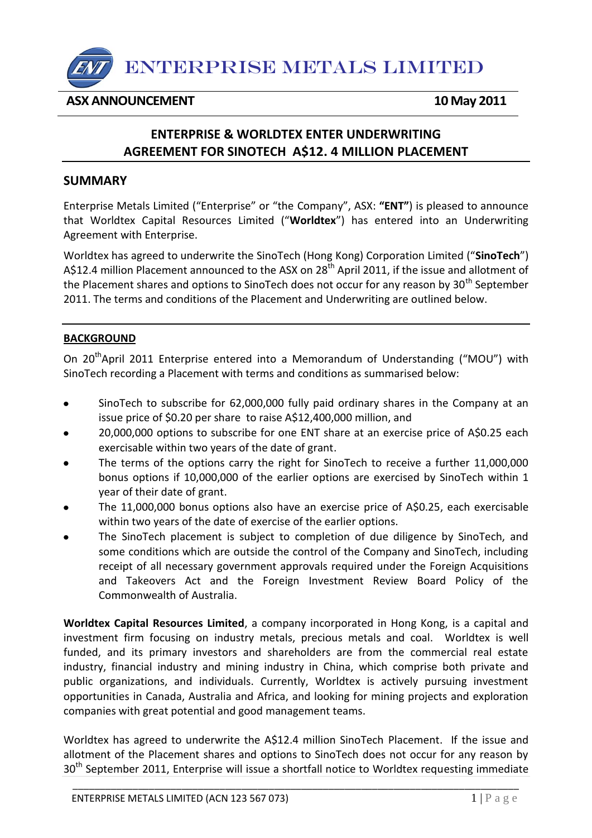

## **ASX ANNOUNCEMENT** 10 May 2011

# **ENTERPRISE & WORLDTEX ENTER UNDERWRITING AGREEMENT FOR SINOTECH A\$12. 4 MILLION PLACEMENT**

### **SUMMARY**

Enterprise Metals Limited ("Enterprise" or "the Company", ASX: **"ENT"**) is pleased to announce that Worldtex Capital Resources Limited ("**Worldtex**") has entered into an Underwriting Agreement with Enterprise.

Worldtex has agreed to underwrite the SinoTech (Hong Kong) Corporation Limited ("**SinoTech**") A\$12.4 million Placement announced to the ASX on 28<sup>th</sup> April 2011, if the issue and allotment of the Placement shares and options to SinoTech does not occur for any reason by  $30<sup>th</sup>$  September 2011. The terms and conditions of the Placement and Underwriting are outlined below.

#### **BACKGROUND**

On 20<sup>th</sup>April 2011 Enterprise entered into a Memorandum of Understanding ("MOU") with SinoTech recording a Placement with terms and conditions as summarised below:

- SinoTech to subscribe for 62,000,000 fully paid ordinary shares in the Company at an  $\bullet$ issue price of \$0.20 per share to raise A\$12,400,000 million, and
- 20,000,000 options to subscribe for one ENT share at an exercise price of A\$0.25 each exercisable within two years of the date of grant.
- The terms of the options carry the right for SinoTech to receive a further 11,000,000 bonus options if 10,000,000 of the earlier options are exercised by SinoTech within 1 year of their date of grant.
- The 11,000,000 bonus options also have an exercise price of A\$0.25, each exercisable within two years of the date of exercise of the earlier options.
- The SinoTech placement is subject to completion of due diligence by SinoTech, and some conditions which are outside the control of the Company and SinoTech, including receipt of all necessary government approvals required under the Foreign Acquisitions and Takeovers Act and the Foreign Investment Review Board Policy of the Commonwealth of Australia.

**Worldtex Capital Resources Limited**, a company incorporated in Hong Kong, is a capital and investment firm focusing on industry metals, precious metals and coal. Worldtex is well funded, and its primary investors and shareholders are from the commercial real estate industry, financial industry and mining industry in China, which comprise both private and public organizations, and individuals. Currently, Worldtex is actively pursuing investment opportunities in Canada, Australia and Africa, and looking for mining projects and exploration companies with great potential and good management teams.

Worldtex has agreed to underwrite the A\$12.4 million SinoTech Placement. If the issue and allotment of the Placement shares and options to SinoTech does not occur for any reason by 30<sup>th</sup> September 2011, Enterprise will issue a shortfall notice to Worldtex requesting immediate

\_\_\_\_\_\_\_\_\_\_\_\_\_\_\_\_\_\_\_\_\_\_\_\_\_\_\_\_\_\_\_\_\_\_\_\_\_\_\_\_\_\_\_\_\_\_\_\_\_\_\_\_\_\_\_\_\_\_\_\_\_\_\_\_\_\_\_\_\_\_\_\_\_\_\_\_\_\_\_\_\_\_